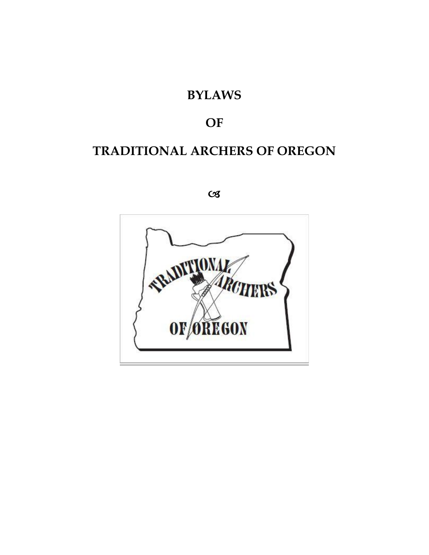# **BYLAWS**

# **OF**

# **TRADITIONAL ARCHERS OF OREGON**

 $C<sub>3</sub>$ 

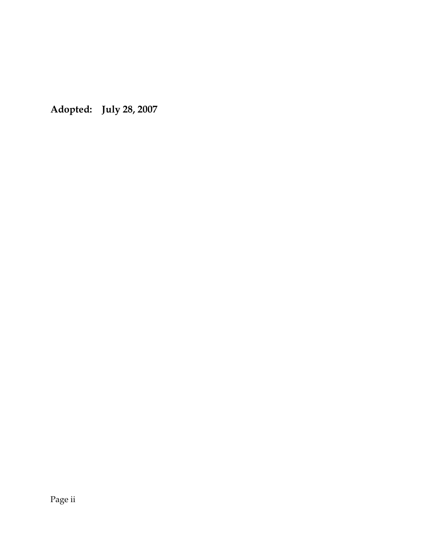**Adopted: July 28, 2007**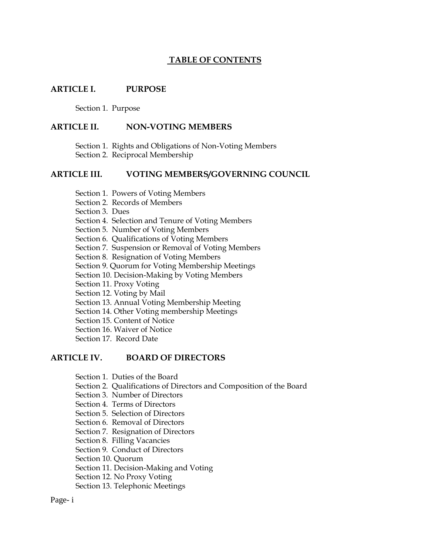#### **TABLE OF CONTENTS**

#### **ARTICLE I. PURPOSE**

Section 1. Purpose

#### **ARTICLE II. NON-VOTING MEMBERS**

Section 1. Rights and Obligations of Non-Voting Members Section 2. Reciprocal Membership

#### **ARTICLE III. VOTING MEMBERS/GOVERNING COUNCIL**

- Section 1. Powers of Voting Members
- Section 2. Records of Members
- Section 3. Dues
- Section 4. Selection and Tenure of Voting Members
- Section 5. Number of Voting Members
- Section 6. Qualifications of Voting Members
- Section 7. Suspension or Removal of Voting Members
- Section 8. Resignation of Voting Members
- Section 9. Quorum for Voting Membership Meetings
- Section 10. Decision-Making by Voting Members
- Section 11. Proxy Voting
- Section 12. Voting by Mail
- Section 13. Annual Voting Membership Meeting
- Section 14. Other Voting membership Meetings
- Section 15. Content of Notice
- Section 16. Waiver of Notice
- Section 17. Record Date

#### **ARTICLE IV. BOARD OF DIRECTORS**

- Section 1. Duties of the Board
- Section 2. Qualifications of Directors and Composition of the Board
- Section 3. Number of Directors
- Section 4. Terms of Directors
- Section 5. Selection of Directors
- Section 6. Removal of Directors
- Section 7. Resignation of Directors
- Section 8. Filling Vacancies
- Section 9. Conduct of Directors
- Section 10. Quorum
- Section 11. Decision-Making and Voting
- Section 12. No Proxy Voting
- Section 13. Telephonic Meetings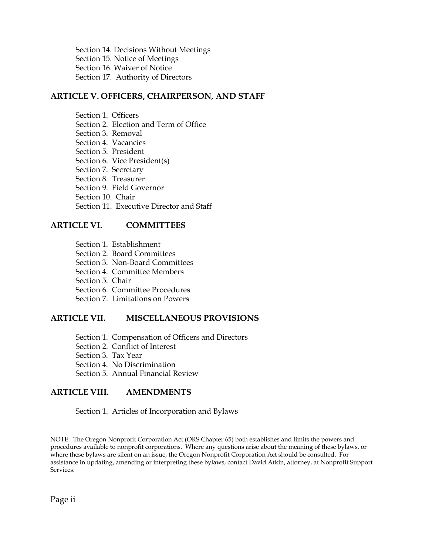Section 14. Decisions Without Meetings Section 15. Notice of Meetings Section 16. Waiver of Notice Section 17. Authority of Directors

#### **ARTICLE V. OFFICERS, CHAIRPERSON, AND STAFF**

Section 1. Officers Section 2. Election and Term of Office Section 3. Removal Section 4. Vacancies Section 5. President Section 6. Vice President(s) Section 7. Secretary Section 8. Treasurer Section 9. Field Governor Section 10. Chair Section 11. Executive Director and Staff

# **ARTICLE VI. COMMITTEES**

- Section 1. Establishment
- Section 2. Board Committees
- Section 3. Non-Board Committees
- Section 4. Committee Members
- Section 5. Chair
- Section 6. Committee Procedures
- Section 7. Limitations on Powers

#### **ARTICLE VII. MISCELLANEOUS PROVISIONS**

- Section 1. Compensation of Officers and Directors
- Section 2. Conflict of Interest
- Section 3. Tax Year
- Section 4. No Discrimination
- Section 5. Annual Financial Review

#### **ARTICLE VIII. AMENDMENTS**

#### Section 1. Articles of Incorporation and Bylaws

NOTE: The Oregon Nonprofit Corporation Act (ORS Chapter 65) both establishes and limits the powers and procedures available to nonprofit corporations. Where any questions arise about the meaning of these bylaws, or where these bylaws are silent on an issue, the Oregon Nonprofit Corporation Act should be consulted. For assistance in updating, amending or interpreting these bylaws, contact David Atkin, attorney, at Nonprofit Support Services.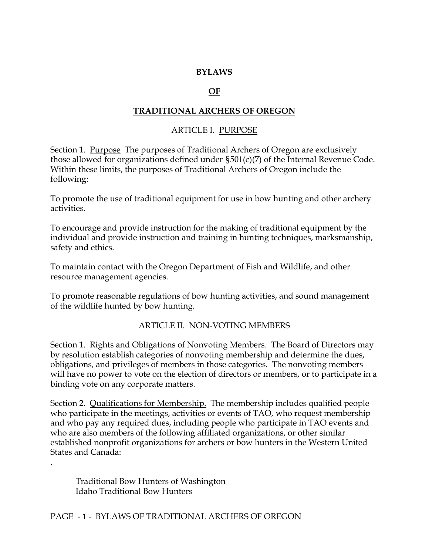#### **BYLAWS**

#### **OF**

#### **TRADITIONAL ARCHERS OF OREGON**

#### ARTICLE I. PURPOSE

Section 1. Purpose The purposes of Traditional Archers of Oregon are exclusively those allowed for organizations defined under §501(c)(7) of the Internal Revenue Code. Within these limits, the purposes of Traditional Archers of Oregon include the following:

To promote the use of traditional equipment for use in bow hunting and other archery activities.

To encourage and provide instruction for the making of traditional equipment by the individual and provide instruction and training in hunting techniques, marksmanship, safety and ethics.

To maintain contact with the Oregon Department of Fish and Wildlife, and other resource management agencies.

To promote reasonable regulations of bow hunting activities, and sound management of the wildlife hunted by bow hunting.

#### ARTICLE II. NON-VOTING MEMBERS

Section 1. Rights and Obligations of Nonvoting Members. The Board of Directors may by resolution establish categories of nonvoting membership and determine the dues, obligations, and privileges of members in those categories. The nonvoting members will have no power to vote on the election of directors or members, or to participate in a binding vote on any corporate matters.

Section 2. Qualifications for Membership. The membership includes qualified people who participate in the meetings, activities or events of TAO, who request membership and who pay any required dues, including people who participate in TAO events and who are also members of the following affiliated organizations, or other similar established nonprofit organizations for archers or bow hunters in the Western United States and Canada:

Traditional Bow Hunters of Washington Idaho Traditional Bow Hunters

.

PAGE - 1 - BYLAWS OF TRADITIONAL ARCHERS OF OREGON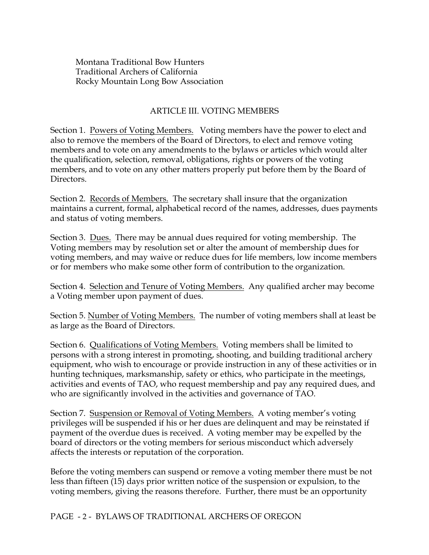Montana Traditional Bow Hunters Traditional Archers of California Rocky Mountain Long Bow Association

#### ARTICLE III. VOTING MEMBERS

Section 1. Powers of Voting Members. Voting members have the power to elect and also to remove the members of the Board of Directors, to elect and remove voting members and to vote on any amendments to the bylaws or articles which would alter the qualification, selection, removal, obligations, rights or powers of the voting members, and to vote on any other matters properly put before them by the Board of Directors.

Section 2. Records of Members. The secretary shall insure that the organization maintains a current, formal, alphabetical record of the names, addresses, dues payments and status of voting members.

Section 3. Dues. There may be annual dues required for voting membership. The Voting members may by resolution set or alter the amount of membership dues for voting members, and may waive or reduce dues for life members, low income members or for members who make some other form of contribution to the organization.

Section 4. Selection and Tenure of Voting Members. Any qualified archer may become a Voting member upon payment of dues.

Section 5. Number of Voting Members. The number of voting members shall at least be as large as the Board of Directors.

Section 6. Qualifications of Voting Members. Voting members shall be limited to persons with a strong interest in promoting, shooting, and building traditional archery equipment, who wish to encourage or provide instruction in any of these activities or in hunting techniques, marksmanship, safety or ethics, who participate in the meetings, activities and events of TAO, who request membership and pay any required dues, and who are significantly involved in the activities and governance of TAO.

Section 7. Suspension or Removal of Voting Members. A voting member's voting privileges will be suspended if his or her dues are delinquent and may be reinstated if payment of the overdue dues is received. A voting member may be expelled by the board of directors or the voting members for serious misconduct which adversely affects the interests or reputation of the corporation.

Before the voting members can suspend or remove a voting member there must be not less than fifteen (15) days prior written notice of the suspension or expulsion, to the voting members, giving the reasons therefore. Further, there must be an opportunity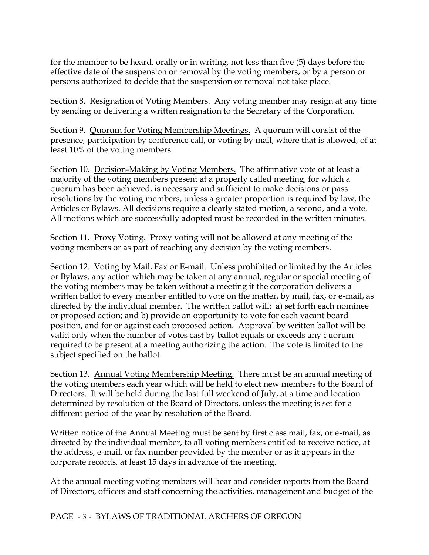for the member to be heard, orally or in writing, not less than five (5) days before the effective date of the suspension or removal by the voting members, or by a person or persons authorized to decide that the suspension or removal not take place.

Section 8. Resignation of Voting Members. Any voting member may resign at any time by sending or delivering a written resignation to the Secretary of the Corporation.

Section 9. Quorum for Voting Membership Meetings. A quorum will consist of the presence, participation by conference call, or voting by mail, where that is allowed, of at least 10% of the voting members.

Section 10. Decision-Making by Voting Members. The affirmative vote of at least a majority of the voting members present at a properly called meeting, for which a quorum has been achieved, is necessary and sufficient to make decisions or pass resolutions by the voting members, unless a greater proportion is required by law, the Articles or Bylaws. All decisions require a clearly stated motion, a second, and a vote. All motions which are successfully adopted must be recorded in the written minutes.

Section 11. Proxy Voting. Proxy voting will not be allowed at any meeting of the voting members or as part of reaching any decision by the voting members.

Section 12. Voting by Mail, Fax or E-mail. Unless prohibited or limited by the Articles or Bylaws, any action which may be taken at any annual, regular or special meeting of the voting members may be taken without a meeting if the corporation delivers a written ballot to every member entitled to vote on the matter, by mail, fax, or e-mail, as directed by the individual member. The written ballot will: a) set forth each nominee or proposed action; and b) provide an opportunity to vote for each vacant board position, and for or against each proposed action. Approval by written ballot will be valid only when the number of votes cast by ballot equals or exceeds any quorum required to be present at a meeting authorizing the action. The vote is limited to the subject specified on the ballot.

Section 13. Annual Voting Membership Meeting. There must be an annual meeting of the voting members each year which will be held to elect new members to the Board of Directors. It will be held during the last full weekend of July, at a time and location determined by resolution of the Board of Directors, unless the meeting is set for a different period of the year by resolution of the Board.

Written notice of the Annual Meeting must be sent by first class mail, fax, or e-mail, as directed by the individual member, to all voting members entitled to receive notice, at the address, e-mail, or fax number provided by the member or as it appears in the corporate records, at least 15 days in advance of the meeting.

At the annual meeting voting members will hear and consider reports from the Board of Directors, officers and staff concerning the activities, management and budget of the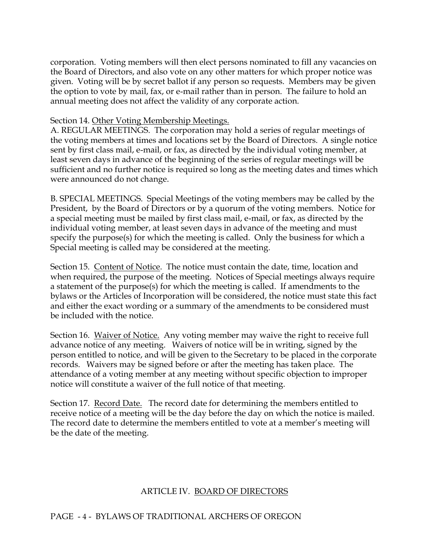corporation. Voting members will then elect persons nominated to fill any vacancies on the Board of Directors, and also vote on any other matters for which proper notice was given. Voting will be by secret ballot if any person so requests. Members may be given the option to vote by mail, fax, or e-mail rather than in person. The failure to hold an annual meeting does not affect the validity of any corporate action.

#### Section 14. Other Voting Membership Meetings.

A. REGULAR MEETINGS. The corporation may hold a series of regular meetings of the voting members at times and locations set by the Board of Directors. A single notice sent by first class mail, e-mail, or fax, as directed by the individual voting member, at least seven days in advance of the beginning of the series of regular meetings will be sufficient and no further notice is required so long as the meeting dates and times which were announced do not change.

B. SPECIAL MEETINGS. Special Meetings of the voting members may be called by the President, by the Board of Directors or by a quorum of the voting members. Notice for a special meeting must be mailed by first class mail, e-mail, or fax, as directed by the individual voting member, at least seven days in advance of the meeting and must specify the purpose(s) for which the meeting is called. Only the business for which a Special meeting is called may be considered at the meeting.

Section 15. Content of Notice. The notice must contain the date, time, location and when required, the purpose of the meeting. Notices of Special meetings always require a statement of the purpose(s) for which the meeting is called. If amendments to the bylaws or the Articles of Incorporation will be considered, the notice must state this fact and either the exact wording or a summary of the amendments to be considered must be included with the notice.

Section 16. Waiver of Notice. Any voting member may waive the right to receive full advance notice of any meeting. Waivers of notice will be in writing, signed by the person entitled to notice, and will be given to the Secretary to be placed in the corporate records. Waivers may be signed before or after the meeting has taken place. The attendance of a voting member at any meeting without specific objection to improper notice will constitute a waiver of the full notice of that meeting.

Section 17. Record Date. The record date for determining the members entitled to receive notice of a meeting will be the day before the day on which the notice is mailed. The record date to determine the members entitled to vote at a member's meeting will be the date of the meeting.

### ARTICLE IV. BOARD OF DIRECTORS

### PAGE - 4 - BYLAWS OF TRADITIONAL ARCHERS OF OREGON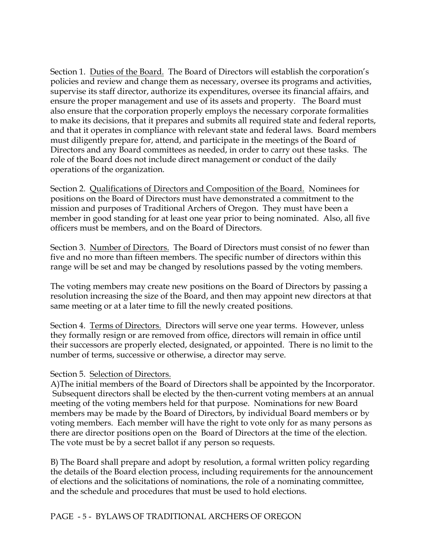Section 1. Duties of the Board. The Board of Directors will establish the corporation's policies and review and change them as necessary, oversee its programs and activities, supervise its staff director, authorize its expenditures, oversee its financial affairs, and ensure the proper management and use of its assets and property. The Board must also ensure that the corporation properly employs the necessary corporate formalities to make its decisions, that it prepares and submits all required state and federal reports, and that it operates in compliance with relevant state and federal laws. Board members must diligently prepare for, attend, and participate in the meetings of the Board of Directors and any Board committees as needed, in order to carry out these tasks. The role of the Board does not include direct management or conduct of the daily operations of the organization.

Section 2. Qualifications of Directors and Composition of the Board. Nominees for positions on the Board of Directors must have demonstrated a commitment to the mission and purposes of Traditional Archers of Oregon. They must have been a member in good standing for at least one year prior to being nominated. Also, all five officers must be members, and on the Board of Directors.

Section 3. Number of Directors. The Board of Directors must consist of no fewer than five and no more than fifteen members. The specific number of directors within this range will be set and may be changed by resolutions passed by the voting members.

The voting members may create new positions on the Board of Directors by passing a resolution increasing the size of the Board, and then may appoint new directors at that same meeting or at a later time to fill the newly created positions.

Section 4. Terms of Directors. Directors will serve one year terms. However, unless they formally resign or are removed from office, directors will remain in office until their successors are properly elected, designated, or appointed. There is no limit to the number of terms, successive or otherwise, a director may serve.

#### Section 5. Selection of Directors.

A)The initial members of the Board of Directors shall be appointed by the Incorporator. Subsequent directors shall be elected by the then-current voting members at an annual meeting of the voting members held for that purpose. Nominations for new Board members may be made by the Board of Directors, by individual Board members or by voting members. Each member will have the right to vote only for as many persons as there are director positions open on the Board of Directors at the time of the election. The vote must be by a secret ballot if any person so requests.

B) The Board shall prepare and adopt by resolution, a formal written policy regarding the details of the Board election process, including requirements for the announcement of elections and the solicitations of nominations, the role of a nominating committee, and the schedule and procedures that must be used to hold elections.

#### PAGE - 5 - BYLAWS OF TRADITIONAL ARCHERS OF OREGON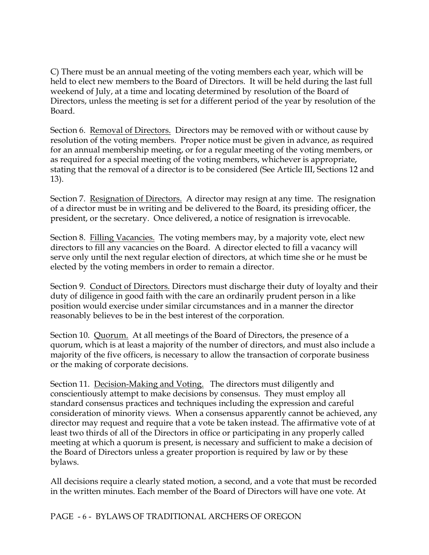C) There must be an annual meeting of the voting members each year, which will be held to elect new members to the Board of Directors. It will be held during the last full weekend of July, at a time and locating determined by resolution of the Board of Directors, unless the meeting is set for a different period of the year by resolution of the Board.

Section 6. Removal of Directors. Directors may be removed with or without cause by resolution of the voting members. Proper notice must be given in advance, as required for an annual membership meeting, or for a regular meeting of the voting members, or as required for a special meeting of the voting members, whichever is appropriate, stating that the removal of a director is to be considered (See Article III, Sections 12 and 13).

Section 7. Resignation of Directors. A director may resign at any time. The resignation of a director must be in writing and be delivered to the Board, its presiding officer, the president, or the secretary. Once delivered, a notice of resignation is irrevocable.

Section 8. Filling Vacancies. The voting members may, by a majority vote, elect new directors to fill any vacancies on the Board. A director elected to fill a vacancy will serve only until the next regular election of directors, at which time she or he must be elected by the voting members in order to remain a director.

Section 9. Conduct of Directors. Directors must discharge their duty of loyalty and their duty of diligence in good faith with the care an ordinarily prudent person in a like position would exercise under similar circumstances and in a manner the director reasonably believes to be in the best interest of the corporation.

Section 10. Quorum. At all meetings of the Board of Directors, the presence of a quorum, which is at least a majority of the number of directors, and must also include a majority of the five officers, is necessary to allow the transaction of corporate business or the making of corporate decisions.

Section 11. Decision-Making and Voting. The directors must diligently and conscientiously attempt to make decisions by consensus. They must employ all standard consensus practices and techniques including the expression and careful consideration of minority views. When a consensus apparently cannot be achieved, any director may request and require that a vote be taken instead. The affirmative vote of at least two thirds of all of the Directors in office or participating in any properly called meeting at which a quorum is present, is necessary and sufficient to make a decision of the Board of Directors unless a greater proportion is required by law or by these bylaws.

All decisions require a clearly stated motion, a second, and a vote that must be recorded in the written minutes. Each member of the Board of Directors will have one vote. At

# PAGE - 6 - BYLAWS OF TRADITIONAL ARCHERS OF OREGON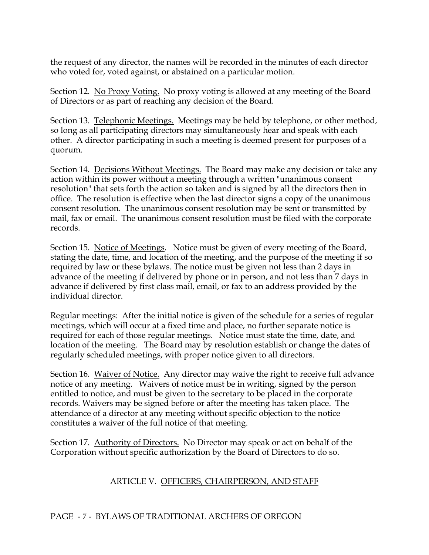the request of any director, the names will be recorded in the minutes of each director who voted for, voted against, or abstained on a particular motion.

Section 12. No Proxy Voting. No proxy voting is allowed at any meeting of the Board of Directors or as part of reaching any decision of the Board.

Section 13. Telephonic Meetings. Meetings may be held by telephone, or other method, so long as all participating directors may simultaneously hear and speak with each other. A director participating in such a meeting is deemed present for purposes of a quorum.

Section 14. Decisions Without Meetings. The Board may make any decision or take any action within its power without a meeting through a written "unanimous consent resolution" that sets forth the action so taken and is signed by all the directors then in office. The resolution is effective when the last director signs a copy of the unanimous consent resolution. The unanimous consent resolution may be sent or transmitted by mail, fax or email. The unanimous consent resolution must be filed with the corporate records.

Section 15. Notice of Meetings. Notice must be given of every meeting of the Board, stating the date, time, and location of the meeting, and the purpose of the meeting if so required by law or these bylaws. The notice must be given not less than 2 days in advance of the meeting if delivered by phone or in person, and not less than 7 days in advance if delivered by first class mail, email, or fax to an address provided by the individual director.

Regular meetings: After the initial notice is given of the schedule for a series of regular meetings, which will occur at a fixed time and place, no further separate notice is required for each of those regular meetings. Notice must state the time, date, and location of the meeting. The Board may by resolution establish or change the dates of regularly scheduled meetings, with proper notice given to all directors.

Section 16. Waiver of Notice. Any director may waive the right to receive full advance notice of any meeting. Waivers of notice must be in writing, signed by the person entitled to notice, and must be given to the secretary to be placed in the corporate records. Waivers may be signed before or after the meeting has taken place. The attendance of a director at any meeting without specific objection to the notice constitutes a waiver of the full notice of that meeting.

Section 17. Authority of Directors. No Director may speak or act on behalf of the Corporation without specific authorization by the Board of Directors to do so.

# ARTICLE V. OFFICERS, CHAIRPERSON, AND STAFF

#### PAGE - 7 - BYLAWS OF TRADITIONAL ARCHERS OF OREGON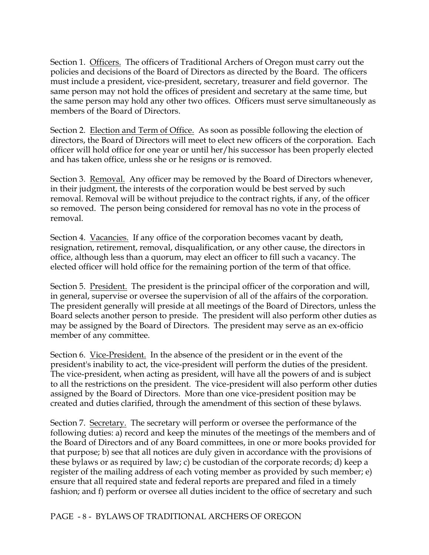Section 1. Officers. The officers of Traditional Archers of Oregon must carry out the policies and decisions of the Board of Directors as directed by the Board. The officers must include a president, vice-president, secretary, treasurer and field governor. The same person may not hold the offices of president and secretary at the same time, but the same person may hold any other two offices. Officers must serve simultaneously as members of the Board of Directors.

Section 2. Election and Term of Office. As soon as possible following the election of directors, the Board of Directors will meet to elect new officers of the corporation. Each officer will hold office for one year or until her/his successor has been properly elected and has taken office, unless she or he resigns or is removed.

Section 3. Removal. Any officer may be removed by the Board of Directors whenever, in their judgment, the interests of the corporation would be best served by such removal. Removal will be without prejudice to the contract rights, if any, of the officer so removed. The person being considered for removal has no vote in the process of removal.

Section 4. Vacancies. If any office of the corporation becomes vacant by death, resignation, retirement, removal, disqualification, or any other cause, the directors in office, although less than a quorum, may elect an officer to fill such a vacancy. The elected officer will hold office for the remaining portion of the term of that office.

Section 5. President. The president is the principal officer of the corporation and will, in general, supervise or oversee the supervision of all of the affairs of the corporation. The president generally will preside at all meetings of the Board of Directors, unless the Board selects another person to preside. The president will also perform other duties as may be assigned by the Board of Directors. The president may serve as an ex-officio member of any committee.

Section 6. Vice-President. In the absence of the president or in the event of the president's inability to act, the vice-president will perform the duties of the president. The vice-president, when acting as president, will have all the powers of and is subject to all the restrictions on the president. The vice-president will also perform other duties assigned by the Board of Directors. More than one vice-president position may be created and duties clarified, through the amendment of this section of these bylaws.

Section 7. Secretary. The secretary will perform or oversee the performance of the following duties: a) record and keep the minutes of the meetings of the members and of the Board of Directors and of any Board committees, in one or more books provided for that purpose; b) see that all notices are duly given in accordance with the provisions of these bylaws or as required by law; c) be custodian of the corporate records; d) keep a register of the mailing address of each voting member as provided by such member; e) ensure that all required state and federal reports are prepared and filed in a timely fashion; and f) perform or oversee all duties incident to the office of secretary and such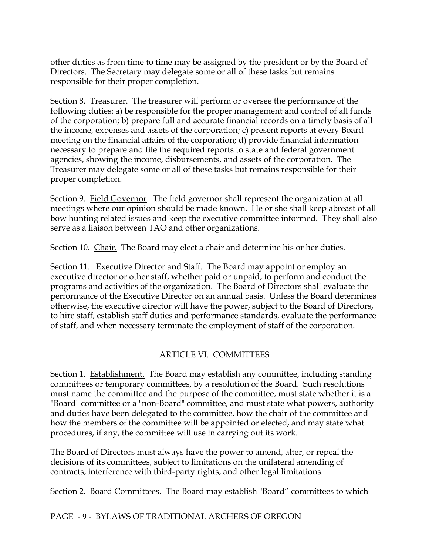other duties as from time to time may be assigned by the president or by the Board of Directors. The Secretary may delegate some or all of these tasks but remains responsible for their proper completion.

Section 8. Treasurer. The treasurer will perform or oversee the performance of the following duties: a) be responsible for the proper management and control of all funds of the corporation; b) prepare full and accurate financial records on a timely basis of all the income, expenses and assets of the corporation; c) present reports at every Board meeting on the financial affairs of the corporation; d) provide financial information necessary to prepare and file the required reports to state and federal government agencies, showing the income, disbursements, and assets of the corporation. The Treasurer may delegate some or all of these tasks but remains responsible for their proper completion.

Section 9. Field Governor. The field governor shall represent the organization at all meetings where our opinion should be made known. He or she shall keep abreast of all bow hunting related issues and keep the executive committee informed. They shall also serve as a liaison between TAO and other organizations.

Section 10. Chair. The Board may elect a chair and determine his or her duties.

Section 11. Executive Director and Staff. The Board may appoint or employ an executive director or other staff, whether paid or unpaid, to perform and conduct the programs and activities of the organization. The Board of Directors shall evaluate the performance of the Executive Director on an annual basis. Unless the Board determines otherwise, the executive director will have the power, subject to the Board of Directors, to hire staff, establish staff duties and performance standards, evaluate the performance of staff, and when necessary terminate the employment of staff of the corporation.

# ARTICLE VI. COMMITTEES

Section 1. Establishment. The Board may establish any committee, including standing committees or temporary committees, by a resolution of the Board. Such resolutions must name the committee and the purpose of the committee, must state whether it is a "Board" committee or a "non-Board" committee, and must state what powers, authority and duties have been delegated to the committee, how the chair of the committee and how the members of the committee will be appointed or elected, and may state what procedures, if any, the committee will use in carrying out its work.

The Board of Directors must always have the power to amend, alter, or repeal the decisions of its committees, subject to limitations on the unilateral amending of contracts, interference with third-party rights, and other legal limitations.

Section 2. Board Committees. The Board may establish "Board" committees to which

# PAGE - 9 - BYLAWS OF TRADITIONAL ARCHERS OF OREGON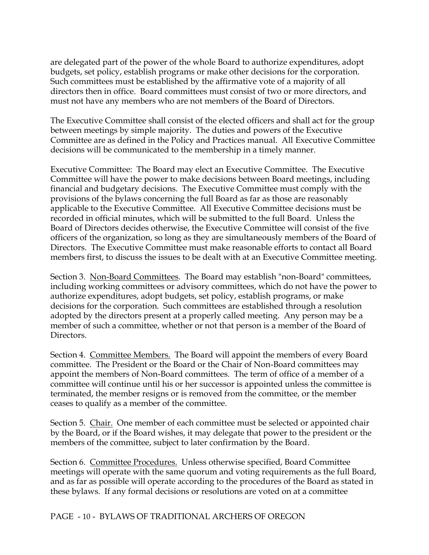are delegated part of the power of the whole Board to authorize expenditures, adopt budgets, set policy, establish programs or make other decisions for the corporation. Such committees must be established by the affirmative vote of a majority of all directors then in office. Board committees must consist of two or more directors, and must not have any members who are not members of the Board of Directors.

The Executive Committee shall consist of the elected officers and shall act for the group between meetings by simple majority. The duties and powers of the Executive Committee are as defined in the Policy and Practices manual. All Executive Committee decisions will be communicated to the membership in a timely manner.

Executive Committee: The Board may elect an Executive Committee. The Executive Committee will have the power to make decisions between Board meetings, including financial and budgetary decisions. The Executive Committee must comply with the provisions of the bylaws concerning the full Board as far as those are reasonably applicable to the Executive Committee. All Executive Committee decisions must be recorded in official minutes, which will be submitted to the full Board. Unless the Board of Directors decides otherwise, the Executive Committee will consist of the five officers of the organization, so long as they are simultaneously members of the Board of Directors. The Executive Committee must make reasonable efforts to contact all Board members first, to discuss the issues to be dealt with at an Executive Committee meeting.

Section 3. Non-Board Committees. The Board may establish "non-Board" committees, including working committees or advisory committees, which do not have the power to authorize expenditures, adopt budgets, set policy, establish programs, or make decisions for the corporation. Such committees are established through a resolution adopted by the directors present at a properly called meeting. Any person may be a member of such a committee, whether or not that person is a member of the Board of Directors.

Section 4. Committee Members. The Board will appoint the members of every Board committee. The President or the Board or the Chair of Non-Board committees may appoint the members of Non-Board committees. The term of office of a member of a committee will continue until his or her successor is appointed unless the committee is terminated, the member resigns or is removed from the committee, or the member ceases to qualify as a member of the committee.

Section 5. Chair. One member of each committee must be selected or appointed chair by the Board, or if the Board wishes, it may delegate that power to the president or the members of the committee, subject to later confirmation by the Board.

Section 6. Committee Procedures. Unless otherwise specified, Board Committee meetings will operate with the same quorum and voting requirements as the full Board, and as far as possible will operate according to the procedures of the Board as stated in these bylaws. If any formal decisions or resolutions are voted on at a committee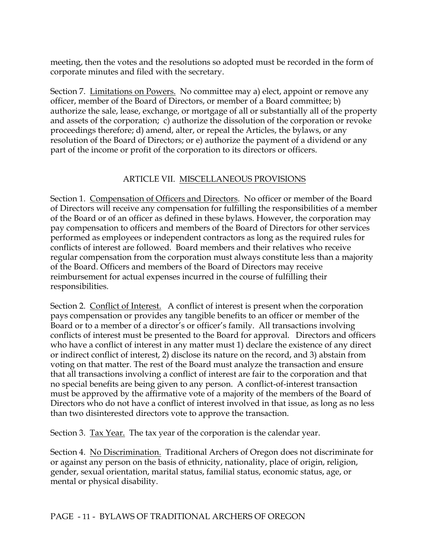meeting, then the votes and the resolutions so adopted must be recorded in the form of corporate minutes and filed with the secretary.

Section 7. Limitations on Powers. No committee may a) elect, appoint or remove any officer, member of the Board of Directors, or member of a Board committee; b) authorize the sale, lease, exchange, or mortgage of all or substantially all of the property and assets of the corporation; c) authorize the dissolution of the corporation or revoke proceedings therefore; d) amend, alter, or repeal the Articles, the bylaws, or any resolution of the Board of Directors; or e) authorize the payment of a dividend or any part of the income or profit of the corporation to its directors or officers.

### ARTICLE VII. MISCELLANEOUS PROVISIONS

Section 1. Compensation of Officers and Directors. No officer or member of the Board of Directors will receive any compensation for fulfilling the responsibilities of a member of the Board or of an officer as defined in these bylaws. However, the corporation may pay compensation to officers and members of the Board of Directors for other services performed as employees or independent contractors as long as the required rules for conflicts of interest are followed. Board members and their relatives who receive regular compensation from the corporation must always constitute less than a majority of the Board. Officers and members of the Board of Directors may receive reimbursement for actual expenses incurred in the course of fulfilling their responsibilities.

Section 2. Conflict of Interest. A conflict of interest is present when the corporation pays compensation or provides any tangible benefits to an officer or member of the Board or to a member of a director's or officer's family. All transactions involving conflicts of interest must be presented to the Board for approval. Directors and officers who have a conflict of interest in any matter must 1) declare the existence of any direct or indirect conflict of interest, 2) disclose its nature on the record, and 3) abstain from voting on that matter. The rest of the Board must analyze the transaction and ensure that all transactions involving a conflict of interest are fair to the corporation and that no special benefits are being given to any person. A conflict-of-interest transaction must be approved by the affirmative vote of a majority of the members of the Board of Directors who do not have a conflict of interest involved in that issue, as long as no less than two disinterested directors vote to approve the transaction.

Section 3. Tax Year. The tax year of the corporation is the calendar year.

Section 4. No Discrimination. Traditional Archers of Oregon does not discriminate for or against any person on the basis of ethnicity, nationality, place of origin, religion, gender, sexual orientation, marital status, familial status, economic status, age, or mental or physical disability.